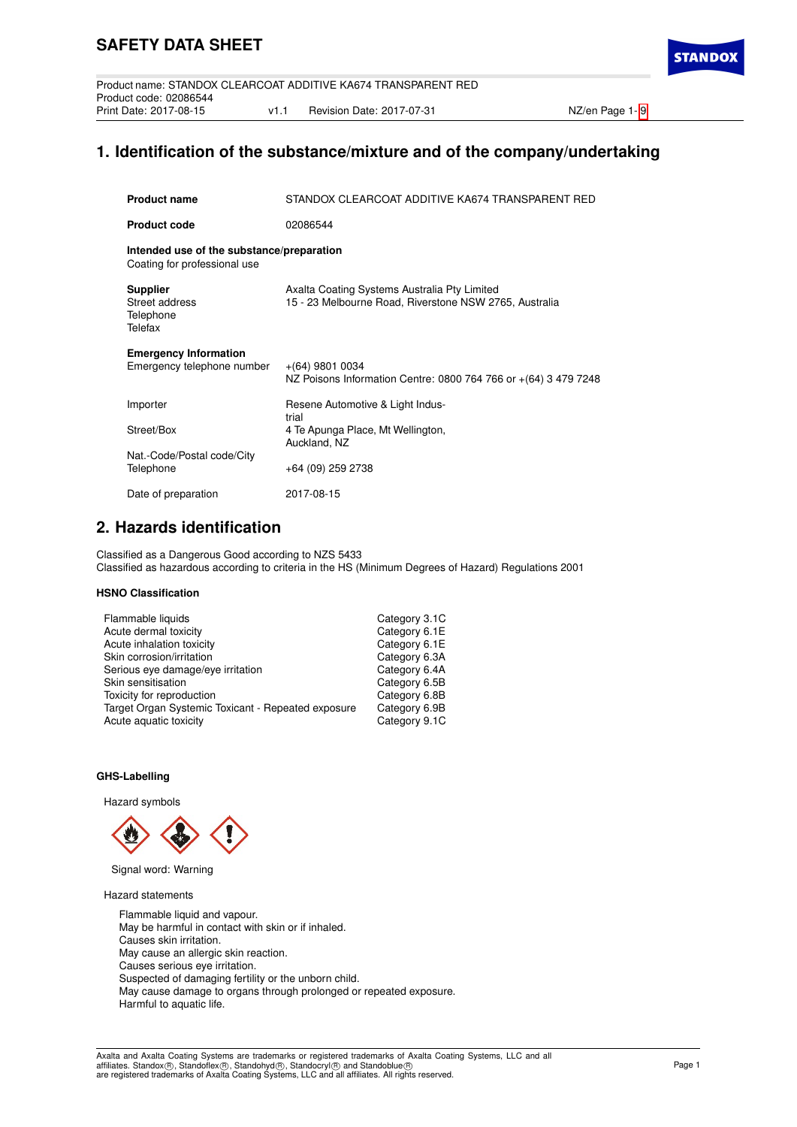**STANDO** 

# **1. Identification of the substance/mixture and of the company/undertaking**

| <b>Product name</b>                                                       | STANDOX CLEARCOAT ADDITIVE KA674 TRANSPARENT RED                                                       |
|---------------------------------------------------------------------------|--------------------------------------------------------------------------------------------------------|
| <b>Product code</b>                                                       | 02086544                                                                                               |
| Intended use of the substance/preparation<br>Coating for professional use |                                                                                                        |
| <b>Supplier</b><br>Street address<br>Telephone<br>Telefax                 | Axalta Coating Systems Australia Pty Limited<br>15 - 23 Melbourne Road, Riverstone NSW 2765, Australia |
| <b>Emergency Information</b><br>Emergency telephone number                | $+(64)$ 9801 0034<br>NZ Poisons Information Centre: 0800 764 766 or +(64) 3 479 7248                   |
| Importer                                                                  | Resene Automotive & Light Indus-<br>trial                                                              |
| Street/Box                                                                | 4 Te Apunga Place, Mt Wellington,<br>Auckland, NZ                                                      |
| Nat.-Code/Postal code/City<br>Telephone                                   | +64 (09) 259 2738                                                                                      |
| Date of preparation                                                       | 2017-08-15                                                                                             |

# **2. Hazards identification**

Classified as a Dangerous Good according to NZS 5433 Classified as hazardous according to criteria in the HS (Minimum Degrees of Hazard) Regulations 2001

## **HSNO Classification**

| Category 3.1C |
|---------------|
| Category 6.1E |
| Category 6.1E |
| Category 6.3A |
| Category 6.4A |
| Category 6.5B |
| Category 6.8B |
| Category 6.9B |
| Category 9.1C |
|               |

## **GHS-Labelling**

Hazard symbols



Signal word: Warning

Hazard statements

Flammable liquid and vapour. May be harmful in contact with skin or if inhaled. Causes skin irritation. May cause an allergic skin reaction. Causes serious eye irritation. Suspected of damaging fertility or the unborn child. May cause damage to organs through prolonged or repeated exposure. Harmful to aquatic life.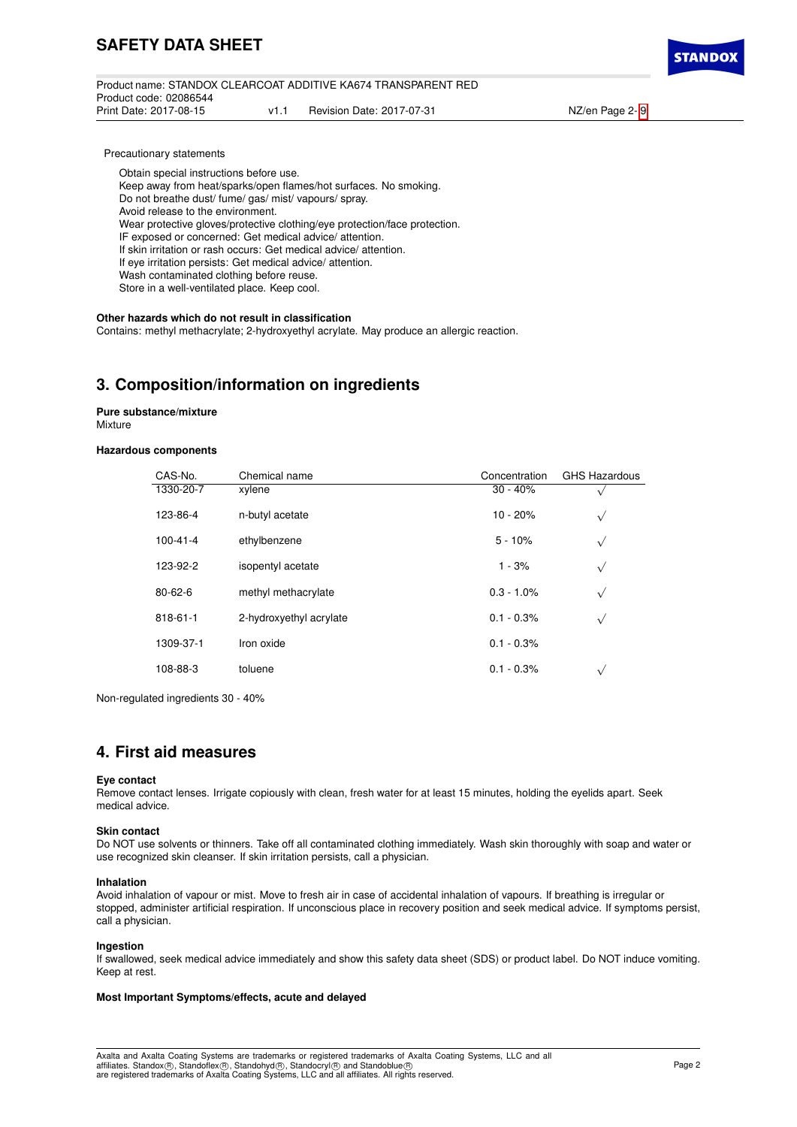Product name: STANDOX CLEARCOAT ADDITIVE KA674 TRANSPARENT RED Product code: 02086544 v1.1 Revision Date: 2017-07-31 NZ/en Page 2- [9](#page-8-0)



Precautionary statements

Obtain special instructions before use.

Keep away from heat/sparks/open flames/hot surfaces. No smoking.

Do not breathe dust/ fume/ gas/ mist/ vapours/ spray.

Avoid release to the environment.

Wear protective gloves/protective clothing/eye protection/face protection.

IF exposed or concerned: Get medical advice/ attention.

If skin irritation or rash occurs: Get medical advice/ attention.

If eye irritation persists: Get medical advice/ attention.

Wash contaminated clothing before reuse.

Store in a well-ventilated place. Keep cool.

### **Other hazards which do not result in classification**

Contains: methyl methacrylate; 2-hydroxyethyl acrylate. May produce an allergic reaction.

## **3. Composition/information on ingredients**

**Pure substance/mixture Mixture** 

## **Hazardous components**

| CAS-No.        | Chemical name           | Concentration | <b>GHS Hazardous</b> |
|----------------|-------------------------|---------------|----------------------|
| 1330-20-7      | xylene                  | $30 - 40%$    |                      |
| 123-86-4       | n-butyl acetate         | $10 - 20%$    | $\sqrt{ }$           |
| $100 - 41 - 4$ | ethylbenzene            | $5 - 10%$     | $\sqrt{ }$           |
| 123-92-2       | isopentyl acetate       | $1 - 3%$      | $\sqrt{}$            |
| $80 - 62 - 6$  | methyl methacrylate     | $0.3 - 1.0\%$ | $\sqrt{ }$           |
| 818-61-1       | 2-hydroxyethyl acrylate | $0.1 - 0.3%$  | $\sqrt{}$            |
| 1309-37-1      | Iron oxide              | $0.1 - 0.3%$  |                      |
| 108-88-3       | toluene                 | $0.1 - 0.3%$  | $\sqrt{}$            |

Non-regulated ingredients 30 - 40%

## **4. First aid measures**

#### **Eye contact**

Remove contact lenses. Irrigate copiously with clean, fresh water for at least 15 minutes, holding the eyelids apart. Seek medical advice.

#### **Skin contact**

Do NOT use solvents or thinners. Take off all contaminated clothing immediately. Wash skin thoroughly with soap and water or use recognized skin cleanser. If skin irritation persists, call a physician.

#### **Inhalation**

Avoid inhalation of vapour or mist. Move to fresh air in case of accidental inhalation of vapours. If breathing is irregular or stopped, administer artificial respiration. If unconscious place in recovery position and seek medical advice. If symptoms persist, call a physician.

#### **Ingestion**

If swallowed, seek medical advice immediately and show this safety data sheet (SDS) or product label. Do NOT induce vomiting. Keep at rest.

#### **Most Important Symptoms/effects, acute and delayed**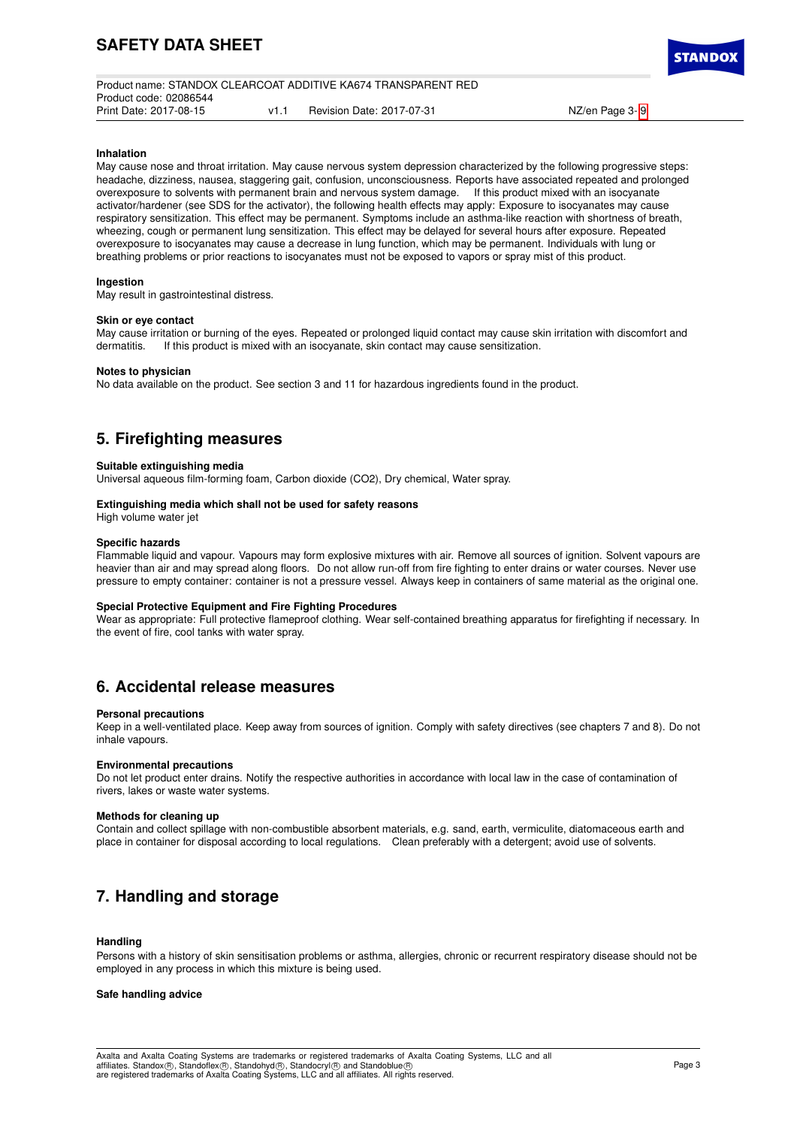|                        |     | Product name: STANDOX CLEARCOAT ADDITIVE KA674 TRANSPARENT RED |
|------------------------|-----|----------------------------------------------------------------|
| Product code: 02086544 |     |                                                                |
| Print Date: 2017-08-15 | v11 | Revision Date: 2017-07-31                                      |

NZ/en Page 3- [9](#page-8-0)

#### **Inhalation**

May cause nose and throat irritation. May cause nervous system depression characterized by the following progressive steps: headache, dizziness, nausea, staggering gait, confusion, unconsciousness. Reports have associated repeated and prolonged overexposure to solvents with permanent brain and nervous system damage. If this product mixed with an isocyanate activator/hardener (see SDS for the activator), the following health effects may apply: Exposure to isocyanates may cause respiratory sensitization. This effect may be permanent. Symptoms include an asthma-like reaction with shortness of breath, wheezing, cough or permanent lung sensitization. This effect may be delayed for several hours after exposure. Repeated overexposure to isocyanates may cause a decrease in lung function, which may be permanent. Individuals with lung or breathing problems or prior reactions to isocyanates must not be exposed to vapors or spray mist of this product.

#### **Ingestion**

May result in gastrointestinal distress.

#### **Skin or eye contact**

May cause irritation or burning of the eyes. Repeated or prolonged liquid contact may cause skin irritation with discomfort and dermatitis. If this product is mixed with an isocyanate, skin contact may cause sensitization. If this product is mixed with an isocyanate, skin contact may cause sensitization.

## **Notes to physician**

No data available on the product. See section 3 and 11 for hazardous ingredients found in the product.

## **5. Firefighting measures**

#### **Suitable extinguishing media**

Universal aqueous film-forming foam, Carbon dioxide (CO2), Dry chemical, Water spray.

#### **Extinguishing media which shall not be used for safety reasons**

High volume water jet

#### **Specific hazards**

Flammable liquid and vapour. Vapours may form explosive mixtures with air. Remove all sources of ignition. Solvent vapours are heavier than air and may spread along floors. Do not allow run-off from fire fighting to enter drains or water courses. Never use pressure to empty container: container is not a pressure vessel. Always keep in containers of same material as the original one.

### **Special Protective Equipment and Fire Fighting Procedures**

Wear as appropriate: Full protective flameproof clothing. Wear self-contained breathing apparatus for firefighting if necessary. In the event of fire, cool tanks with water spray.

## **6. Accidental release measures**

#### **Personal precautions**

Keep in a well-ventilated place. Keep away from sources of ignition. Comply with safety directives (see chapters 7 and 8). Do not inhale vapours.

#### **Environmental precautions**

Do not let product enter drains. Notify the respective authorities in accordance with local law in the case of contamination of rivers, lakes or waste water systems.

#### **Methods for cleaning up**

Contain and collect spillage with non-combustible absorbent materials, e.g. sand, earth, vermiculite, diatomaceous earth and place in container for disposal according to local regulations. Clean preferably with a detergent; avoid use of solvents.

## **7. Handling and storage**

#### **Handling**

Persons with a history of skin sensitisation problems or asthma, allergies, chronic or recurrent respiratory disease should not be employed in any process in which this mixture is being used.

#### **Safe handling advice**

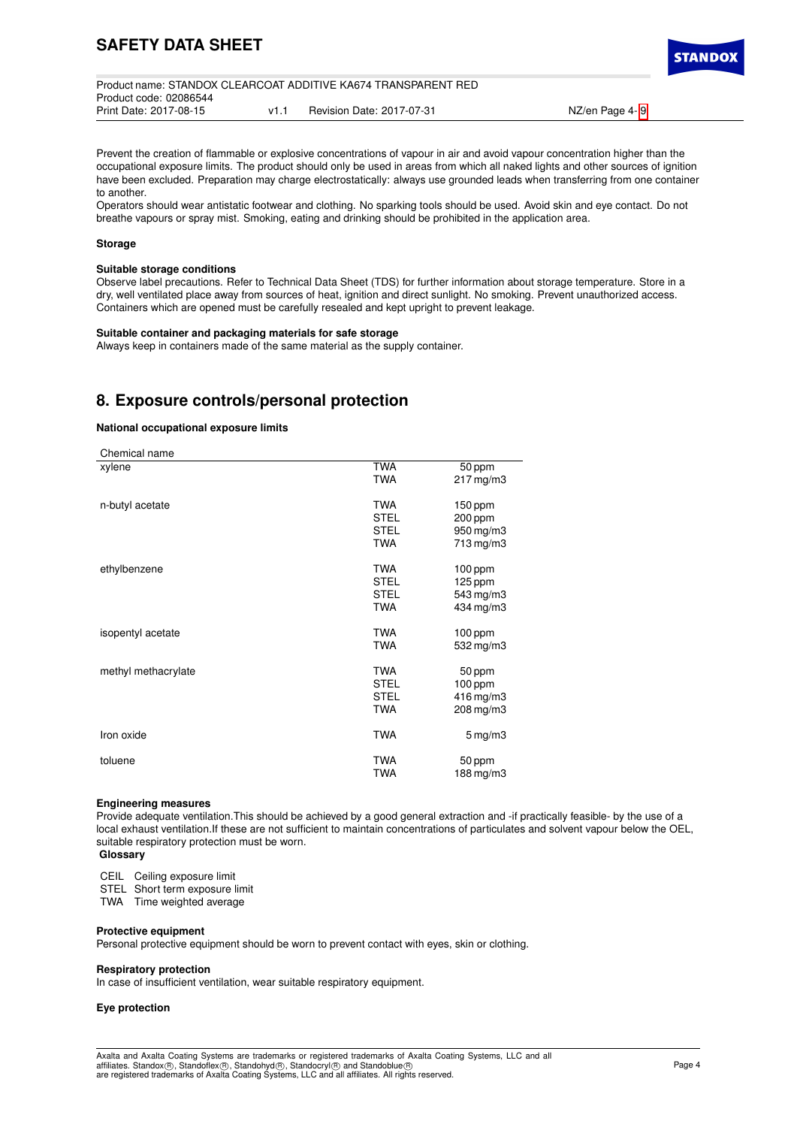| Product name: STANDOX CLEARCOAT ADDITIVE KA674 TRANSPARENT RED<br>Product code: 02086544 |      |                           |                |  |  |  |
|------------------------------------------------------------------------------------------|------|---------------------------|----------------|--|--|--|
| Print Date: 2017-08-15                                                                   | v1 1 | Revision Date: 2017-07-31 | NZ/en Page 4-9 |  |  |  |

Prevent the creation of flammable or explosive concentrations of vapour in air and avoid vapour concentration higher than the occupational exposure limits. The product should only be used in areas from which all naked lights and other sources of ignition have been excluded. Preparation may charge electrostatically: always use grounded leads when transferring from one container to another.

Operators should wear antistatic footwear and clothing. No sparking tools should be used. Avoid skin and eye contact. Do not breathe vapours or spray mist. Smoking, eating and drinking should be prohibited in the application area.

#### **Storage**

### **Suitable storage conditions**

Observe label precautions. Refer to Technical Data Sheet (TDS) for further information about storage temperature. Store in a dry, well ventilated place away from sources of heat, ignition and direct sunlight. No smoking. Prevent unauthorized access. Containers which are opened must be carefully resealed and kept upright to prevent leakage.

#### **Suitable container and packaging materials for safe storage**

Always keep in containers made of the same material as the supply container.

## **8. Exposure controls/personal protection**

### **National occupational exposure limits**

| Chemical name       |             |                        |
|---------------------|-------------|------------------------|
| xylene              | <b>TWA</b>  | 50 ppm                 |
|                     | <b>TWA</b>  | $217 \,\mathrm{mg/m3}$ |
| n-butyl acetate     | <b>TWA</b>  | $150$ ppm              |
|                     | <b>STEL</b> | 200 ppm                |
|                     | <b>STEL</b> | 950 mg/m3              |
|                     | <b>TWA</b>  | 713 mg/m3              |
| ethylbenzene        | <b>TWA</b>  | $100$ ppm              |
|                     | <b>STEL</b> | 125 ppm                |
|                     | <b>STEL</b> | 543 mg/m3              |
|                     | <b>TWA</b>  | 434 mg/m3              |
| isopentyl acetate   | <b>TWA</b>  | $100$ ppm              |
|                     | <b>TWA</b>  | 532 mg/m3              |
| methyl methacrylate | <b>TWA</b>  | 50 ppm                 |
|                     | <b>STEL</b> | 100 ppm                |
|                     | <b>STEL</b> | 416 mg/m3              |
|                     | <b>TWA</b>  | 208 mg/m3              |
| Iron oxide          | <b>TWA</b>  | $5 \,\mathrm{mg/m}$    |
| toluene             | <b>TWA</b>  | 50 ppm                 |
|                     | <b>TWA</b>  | 188 mg/m3              |

#### **Engineering measures**

Provide adequate ventilation.This should be achieved by a good general extraction and -if practically feasible- by the use of a local exhaust ventilation.If these are not sufficient to maintain concentrations of particulates and solvent vapour below the OEL, suitable respiratory protection must be worn.

**Glossary**

CEIL Ceiling exposure limit

STEL Short term exposure limit

TWA Time weighted average

#### **Protective equipment**

Personal protective equipment should be worn to prevent contact with eyes, skin or clothing.

#### **Respiratory protection**

In case of insufficient ventilation, wear suitable respiratory equipment.

## **Eye protection**

**STANDO**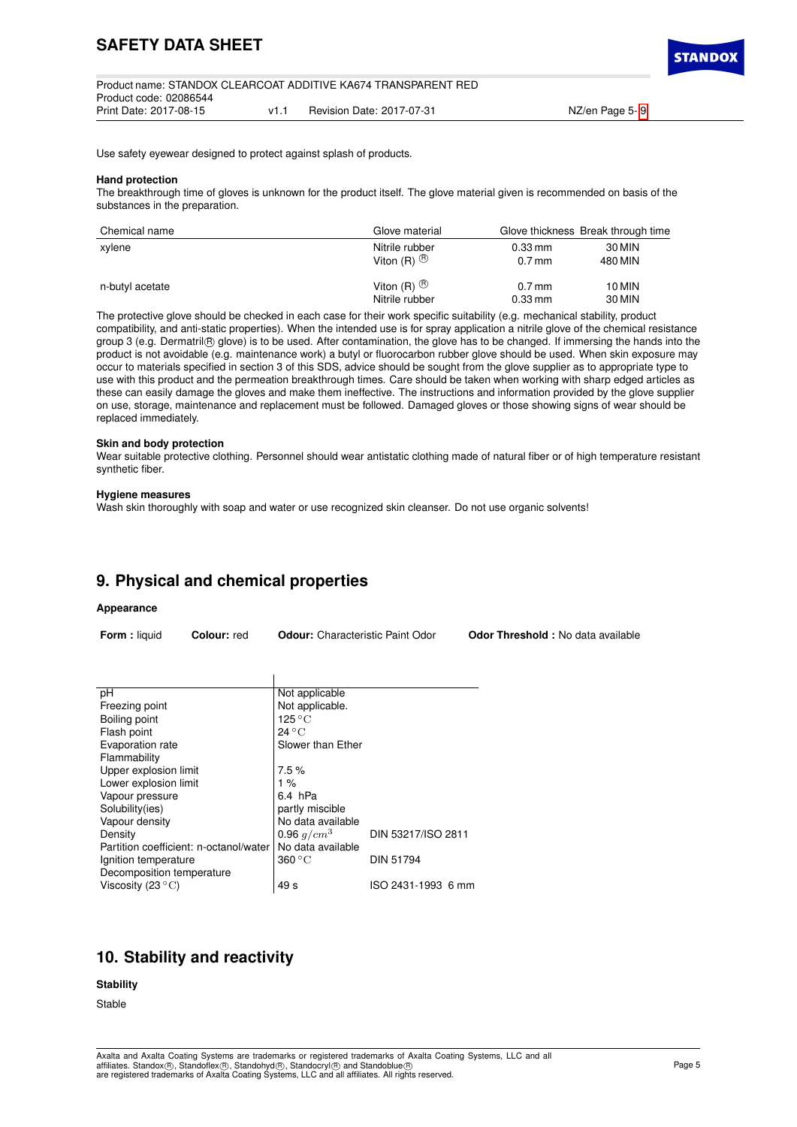| Product name: STANDOX CLEARCOAT ADDITIVE KA674 TRANSPARENT RED |      |                           |                |  |  |
|----------------------------------------------------------------|------|---------------------------|----------------|--|--|
| Product code: 02086544                                         |      |                           |                |  |  |
| Print Date: 2017-08-15                                         | V1.1 | Revision Date: 2017-07-31 | NZ/en Page 5-9 |  |  |

Use safety eyewear designed to protect against splash of products.

#### **Hand protection**

The breakthrough time of gloves is unknown for the product itself. The glove material given is recommended on basis of the substances in the preparation.

| Chemical name   | Glove material          |                      | Glove thickness Break through time |
|-----------------|-------------------------|----------------------|------------------------------------|
| xylene          | Nitrile rubber          | $0.33$ mm            | 30 MIN                             |
|                 | Viton $(R)$ $\circledR$ | $0.7$ mm             | 480 MIN                            |
| n-butyl acetate | Viton $(R)$ $\circledR$ | $0.7$ mm             | 10 MIN                             |
|                 | Nitrile rubber          | $0.33 \,\mathrm{mm}$ | 30 MIN                             |

The protective glove should be checked in each case for their work specific suitability (e.g. mechanical stability, product compatibility, and anti-static properties). When the intended use is for spray application a nitrile glove of the chemical resistance group 3 (e.g. Dermatril® glove) is to be used. After contamination, the glove has to be changed. If immersing the hands into the product is not avoidable (e.g. maintenance work) a butyl or fluorocarbon rubber glove should be used. When skin exposure may occur to materials specified in section 3 of this SDS, advice should be sought from the glove supplier as to appropriate type to use with this product and the permeation breakthrough times. Care should be taken when working with sharp edged articles as these can easily damage the gloves and make them ineffective. The instructions and information provided by the glove supplier on use, storage, maintenance and replacement must be followed. Damaged gloves or those showing signs of wear should be replaced immediately.

#### **Skin and body protection**

Wear suitable protective clothing. Personnel should wear antistatic clothing made of natural fiber or of high temperature resistant synthetic fiber.

#### **Hygiene measures**

Wash skin thoroughly with soap and water or use recognized skin cleanser. Do not use organic solvents!

## **9. Physical and chemical properties**

#### **Appearance**

| <b>Form:</b> liquid | <b>Colour:</b> red | <b>Odour:</b> Characteristic Paint Odor | <b>Odor Threshold:</b> No data available |
|---------------------|--------------------|-----------------------------------------|------------------------------------------|
|---------------------|--------------------|-----------------------------------------|------------------------------------------|

| рH                                     | Not applicable            |                    |
|----------------------------------------|---------------------------|--------------------|
| Freezing point                         | Not applicable.           |                    |
| Boiling point                          | $125\,^{\circ}\mathrm{C}$ |                    |
| Flash point                            | $24^{\circ}$ C            |                    |
| Evaporation rate                       | Slower than Ether         |                    |
| Flammability                           |                           |                    |
| Upper explosion limit                  | 7.5%                      |                    |
| Lower explosion limit                  | $1\%$                     |                    |
| Vapour pressure                        | 6.4 hPa                   |                    |
| Solubility(ies)                        | partly miscible           |                    |
| Vapour density                         | No data available         |                    |
| Density                                | 0.96 $q/cm^3$             | DIN 53217/ISO 2811 |
| Partition coefficient: n-octanol/water | No data available         |                    |
| Ignition temperature                   | 360 °C                    | <b>DIN 51794</b>   |
| Decomposition temperature              |                           |                    |
| Viscosity (23 $\rm ^{\circ}C)$         | 49 s                      | ISO 2431-1993 6 mm |

## **10. Stability and reactivity**

## **Stability**

Stable

**STANDO**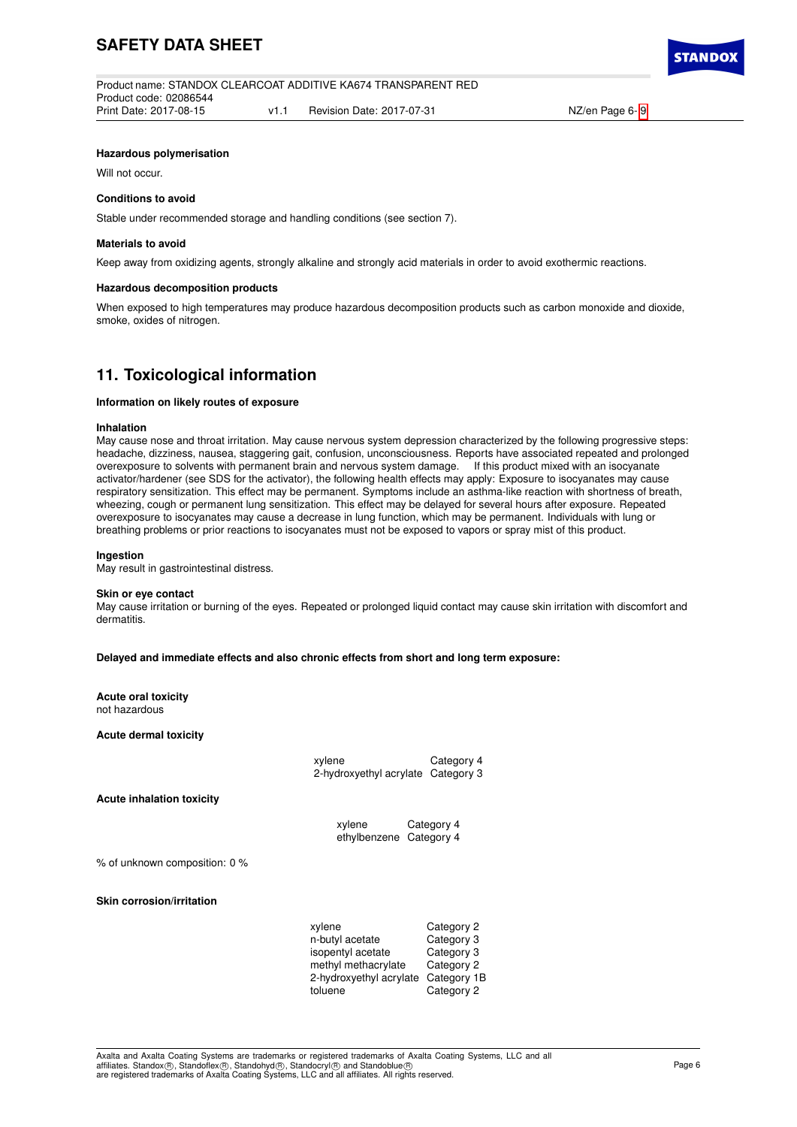

### **Hazardous polymerisation**

Will not occur.

#### **Conditions to avoid**

Stable under recommended storage and handling conditions (see section 7).

#### **Materials to avoid**

Keep away from oxidizing agents, strongly alkaline and strongly acid materials in order to avoid exothermic reactions.

#### **Hazardous decomposition products**

When exposed to high temperatures may produce hazardous decomposition products such as carbon monoxide and dioxide, smoke, oxides of nitrogen.

## **11. Toxicological information**

### **Information on likely routes of exposure**

#### **Inhalation**

May cause nose and throat irritation. May cause nervous system depression characterized by the following progressive steps: headache, dizziness, nausea, staggering gait, confusion, unconsciousness. Reports have associated repeated and prolonged overexposure to solvents with permanent brain and nervous system damage. If this product mixed with a overexposure to solvents with permanent brain and nervous system damage. activator/hardener (see SDS for the activator), the following health effects may apply: Exposure to isocyanates may cause respiratory sensitization. This effect may be permanent. Symptoms include an asthma-like reaction with shortness of breath, wheezing, cough or permanent lung sensitization. This effect may be delayed for several hours after exposure. Repeated overexposure to isocyanates may cause a decrease in lung function, which may be permanent. Individuals with lung or breathing problems or prior reactions to isocyanates must not be exposed to vapors or spray mist of this product.

#### **Ingestion**

May result in gastrointestinal distress.

#### **Skin or eye contact**

May cause irritation or burning of the eyes. Repeated or prolonged liquid contact may cause skin irritation with discomfort and dermatitis.

**Delayed and immediate effects and also chronic effects from short and long term exposure:**

#### **Acute oral toxicity** not hazardous

**Acute dermal toxicity**

xylene Category 4 2-hydroxyethyl acrylate Category 3

**Acute inhalation toxicity**

xylene Category 4 ethylbenzene Category 4

% of unknown composition: 0 %

**Skin corrosion/irritation**

| xylene                  | Category 2  |
|-------------------------|-------------|
| n-butyl acetate         | Category 3  |
| isopentyl acetate       | Category 3  |
| methyl methacrylate     | Category 2  |
| 2-hydroxyethyl acrylate | Category 1B |
| toluene                 | Category 2  |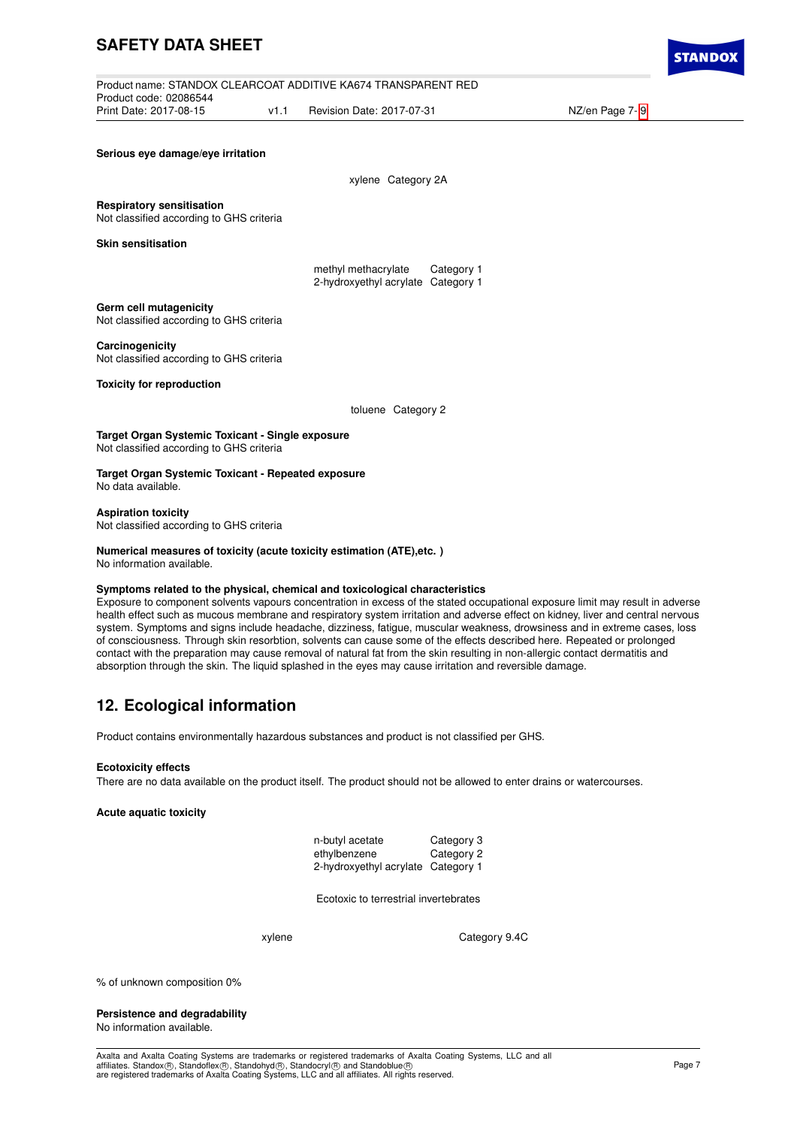|                        |      | Product name: STANDOX CLEARCOAT ADDITIVE KA674 TRANSPARENT RED |  |
|------------------------|------|----------------------------------------------------------------|--|
| Product code: 02086544 |      |                                                                |  |
| Print Date: 2017-08-15 | v1 1 | Revision Date: 2017-07-31                                      |  |

NZ/en Page 7- [9](#page-8-0)

#### **Serious eye damage/eye irritation**

|  | xylene Category 2A |  |
|--|--------------------|--|
|--|--------------------|--|

**Respiratory sensitisation**

Not classified according to GHS criteria

**Skin sensitisation**

methyl methacrylate Category 1 2-hydroxyethyl acrylate Category 1

## **Germ cell mutagenicity**

Not classified according to GHS criteria

## **Carcinogenicity**

Not classified according to GHS criteria

**Toxicity for reproduction**

toluene Category 2

**Target Organ Systemic Toxicant - Single exposure** Not classified according to GHS criteria

**Target Organ Systemic Toxicant - Repeated exposure** No data available.

**Aspiration toxicity** Not classified according to GHS criteria

#### **Numerical measures of toxicity (acute toxicity estimation (ATE),etc. )** No information available.

#### **Symptoms related to the physical, chemical and toxicological characteristics**

Exposure to component solvents vapours concentration in excess of the stated occupational exposure limit may result in adverse health effect such as mucous membrane and respiratory system irritation and adverse effect on kidney, liver and central nervous system. Symptoms and signs include headache, dizziness, fatigue, muscular weakness, drowsiness and in extreme cases, loss of consciousness. Through skin resorbtion, solvents can cause some of the effects described here. Repeated or prolonged contact with the preparation may cause removal of natural fat from the skin resulting in non-allergic contact dermatitis and absorption through the skin. The liquid splashed in the eyes may cause irritation and reversible damage.

# **12. Ecological information**

Product contains environmentally hazardous substances and product is not classified per GHS.

#### **Ecotoxicity effects**

There are no data available on the product itself. The product should not be allowed to enter drains or watercourses.

### **Acute aquatic toxicity**

| n-butyl acetate                    | Category 3 |
|------------------------------------|------------|
| ethylbenzene                       | Category 2 |
| 2-hydroxyethyl acrylate Category 1 |            |

Ecotoxic to terrestrial invertebrates

xylene Category 9.4C

% of unknown composition 0%

#### **Persistence and degradability** No information available.

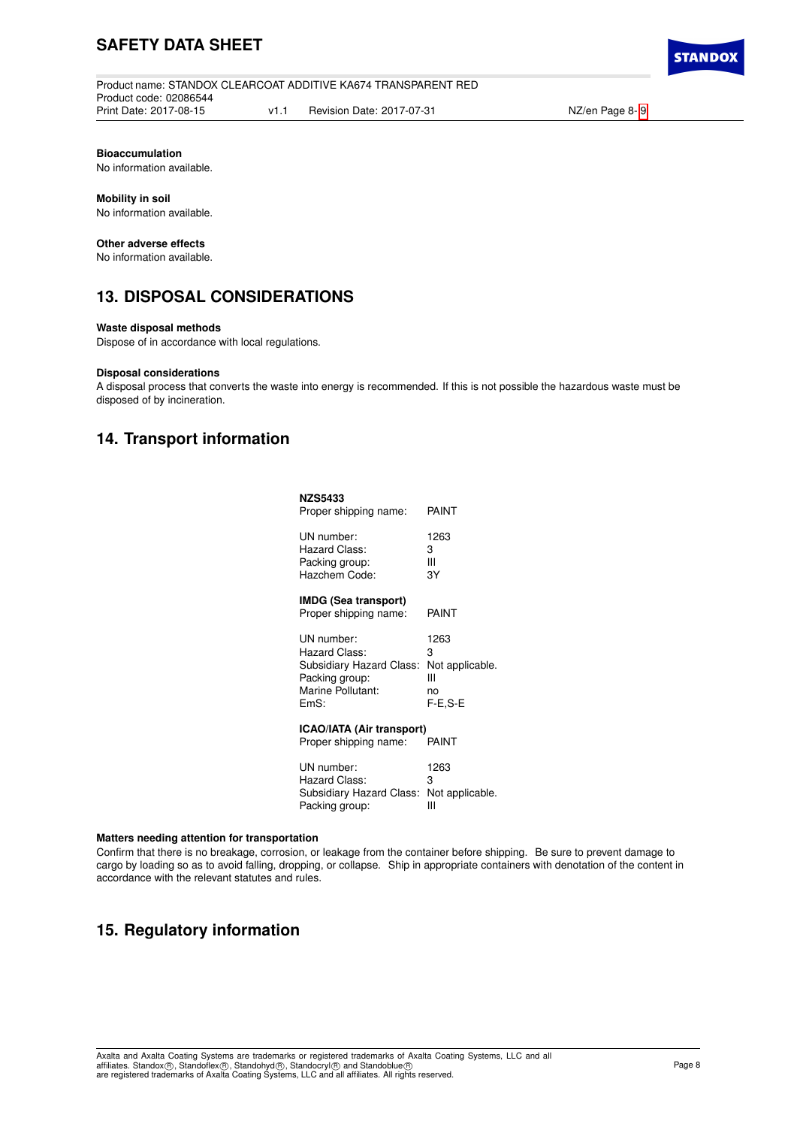Product name: STANDOX CLEARCOAT ADDITIVE KA674 TRANSPARENT RED Product code: 02086544 Print Date: 2017-08-15 v1.1 Revision Date: 2017-07-31 NZ/en Page 8- [9](#page-8-0)

**STANDO** 

### **Bioaccumulation**

No information available.

## **Mobility in soil**

No information available.

### **Other adverse effects**

No information available.

## **13. DISPOSAL CONSIDERATIONS**

### **Waste disposal methods**

Dispose of in accordance with local regulations.

## **Disposal considerations**

A disposal process that converts the waste into energy is recommended. If this is not possible the hazardous waste must be disposed of by incineration.

## **14. Transport information**

| <b>NZS5433</b><br>Proper shipping name:                   | PAINT           |
|-----------------------------------------------------------|-----------------|
| UN number:                                                | 1263            |
| Hazard Class:                                             | 3               |
| Packing group:                                            | Ш               |
| Hazchem Code:                                             | 3Y              |
| <b>IMDG (Sea transport)</b><br>Proper shipping name:      | PAINT           |
| UN number:                                                | 1263            |
| Hazard Class:                                             | 3               |
| Subsidiary Hazard Class:                                  | Not applicable. |
| Packing group:                                            | Ш               |
| Marine Pollutant:                                         | no              |
| EmS:                                                      | $F-E,S-E$       |
| <b>ICAO/IATA (Air transport)</b><br>Proper shipping name: | PAINT           |
| UN number:                                                | 1263            |
| Hazard Class:                                             | 3               |
| Subsidiary Hazard Class:                                  | Not applicable. |
| Packing group:                                            | Ш               |

#### **Matters needing attention for transportation**

Confirm that there is no breakage, corrosion, or leakage from the container before shipping. Be sure to prevent damage to cargo by loading so as to avoid falling, dropping, or collapse. Ship in appropriate containers with denotation of the content in accordance with the relevant statutes and rules.

## **15. Regulatory information**